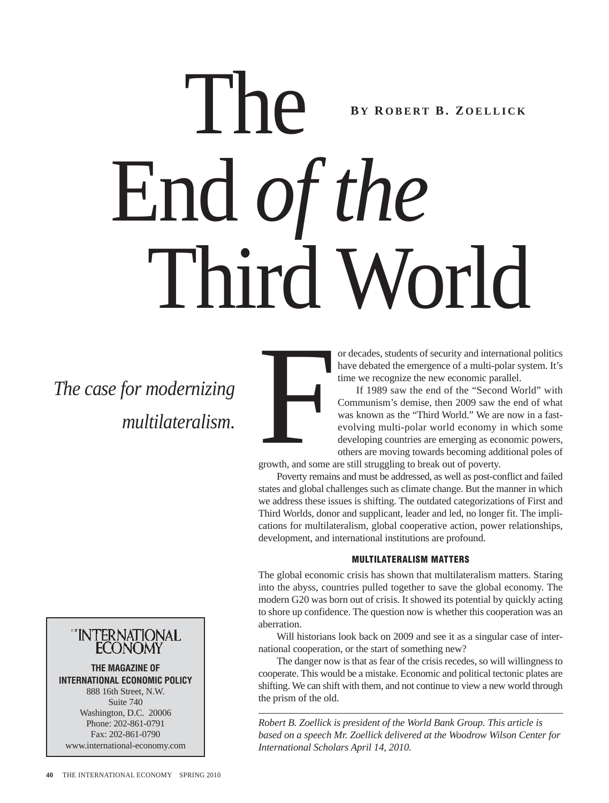# The End *of the* Third World **B Y R OBERT B. Z OELLICK**

*The case for modernizing*



or decades, students of security and international politics have debated the emergence of a multi-polar system. It's time we recognize the new economic parallel.

If 1989 saw the end of the "Second World" with Communism's demise, then 2009 saw the end of what was known as the "Third World." We are now in a fast evolving multi-polar world economy in which some developing countries are emerging as economic powers, others are moving towards becoming additional poles of growth, and some are still struggling to break out of poverty.

Poverty remains and must be addressed, as well as post-conflict and failed Francisco Contra Contra Contra Contra Contra Contra Contra Contra Contra Contra Contra Contra Contra Contra Contra Contra Contra Contra Contra Contra Contra Contra Contra Contra Contra Contra Contra Contra Contra Contra Co

states and global challenges such as climate change. But the manner in which we address these issues is shifting. The outdated categorizations of First and Third Worlds, donor and supplicant, leader and led, no longer fit. The implications for multilateralism, global cooperative action, power relationships, development, and international institutions are profound.

#### **MULTILATERALISM MATTERS**

The global economic crisis has shown that multilateralism matters. Staring into the abyss, countries pulled together to save the global economy. The modern G20 was born out of crisis. It showed its potential by quickly acting to shore up confidence. The question now is whether this cooperation was an aberration.

Will historians look back on 2009 and see it as a singular case of international cooperation, or the start of something new?

The danger now is that as fear of the crisis recedes, so will willingness to cooperate. This would be a mistake. Economic and political tectonic plates are shifting. We can shift with them, and not continue to view a new world through the prism of the old.

*Robert B. Zoellick is president of the World Bank Group. This article is based on a speech Mr. Zoellick delivered at the Woodrow Wilson Center for International Scholars April 14, 2010.*

# "INTERNATIONAL<br>ECONOMY

**THE MAGAZINE OF INTERNATIONAL ECONOMIC POLICY** 888 16th Street, N.W. Suite 740 Washington, D.C. 20006 Phone: 202-861-0791 Fax: 202-861-0790 www.international-economy.com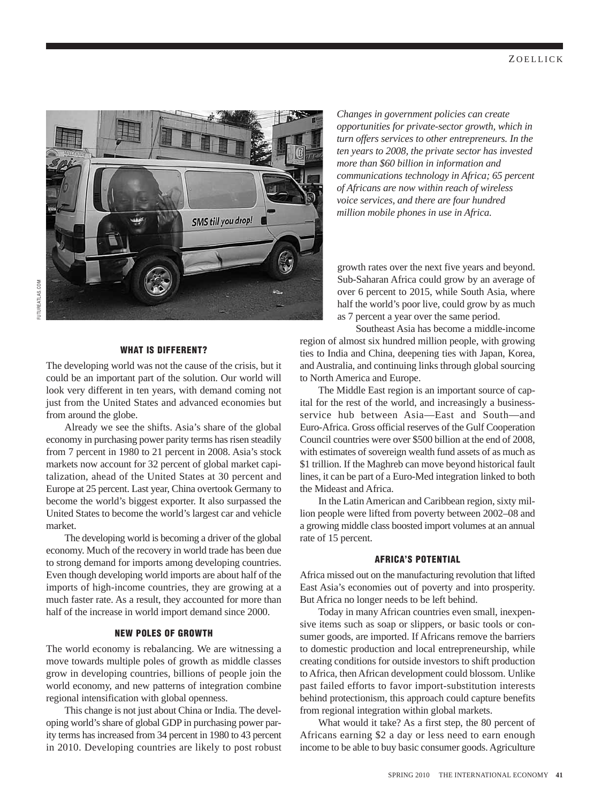

#### **WHAT IS DIFFERENT?**

The developing world was not the cause of the crisis, but it could be an important part of the solution. Our world will look very different in ten years, with demand coming not just from the United States and advanced economies but from around the globe.

Already we see the shifts. Asia's share of the global economy in purchasing power parity terms has risen steadily from 7 percent in 1980 to 21 percent in 2008. Asia's stock markets now account for 32 percent of global market capitalization, ahead of the United States at 30 percent and Europe at 25 percent. Last year, China overtook Germany to become the world's biggest exporter. It also surpassed the United States to become the world's largest car and vehicle market.

The developing world is becoming a driver of the global economy. Much of the recovery in world trade has been due to strong demand for imports among developing countries. Even though developing world imports are about half of the imports of high-income countries, they are growing at a much faster rate. As a result, they accounted for more than half of the increase in world import demand since 2000.

#### **NEW POLES OF GROWTH**

The world economy is rebalancing. We are witnessing a move towards multiple poles of growth as middle classes grow in developing countries, billions of people join the world economy, and new patterns of integration combine regional intensification with global openness.

This change is not just about China or India. The developing world's share of global GDP in purchasing power parity terms has increased from 34 percent in 1980 to 43 percent in 2010. Developing countries are likely to post robust

*Changes in government policies can create opportunities for private-sector growth, which in turn offers services to other entrepreneurs. In the ten years to 2008, the private sector has invested more than \$60 billion in information and communications technology in Africa; 65 percent of Africans are now within reach of wireless voice services, and there are four hundred million mobile phones in use in Africa.* 

growth rates over the next five years and beyond. Sub-Saharan Africa could grow by an average of over 6 percent to 2015, while South Asia, where half the world's poor live, could grow by as much as 7 percent a year over the same period.

Southeast Asia has become a middle-income region of almost six hundred million people, with growing ties to India and China, deepening ties with Japan, Korea, and Australia, and continuing links through global sourcing to North America and Europe.

The Middle East region is an important source of capital for the rest of the world, and increasingly a businessservice hub between Asia—East and South—and Euro-Africa. Gross official reserves of the Gulf Cooperation Council countries were over \$500 billion at the end of 2008, with estimates of sovereign wealth fund assets of as much as \$1 trillion. If the Maghreb can move beyond historical fault lines, it can be part of a Euro-Med integration linked to both the Mideast and Africa.

In the Latin American and Caribbean region, sixty million people were lifted from poverty between 2002–08 and a growing middle class boosted import volumes at an annual rate of 15 percent.

#### **AFRICA'S POTENTIAL**

Africa missed out on the manufacturing revolution that lifted East Asia's economies out of poverty and into prosperity. But Africa no longer needs to be left behind.

Today in many African countries even small, inexpensive items such as soap or slippers, or basic tools or consumer goods, are imported. If Africans remove the barriers to domestic production and local entrepreneurship, while creating conditions for outside investors to shift production to Africa, then African development could blossom. Unlike past failed efforts to favor import-substitution interests behind protectionism, this approach could capture benefits from regional integration within global markets.

What would it take? As a first step, the 80 percent of Africans earning \$2 a day or less need to earn enough income to be able to buy basic consumer goods. Agriculture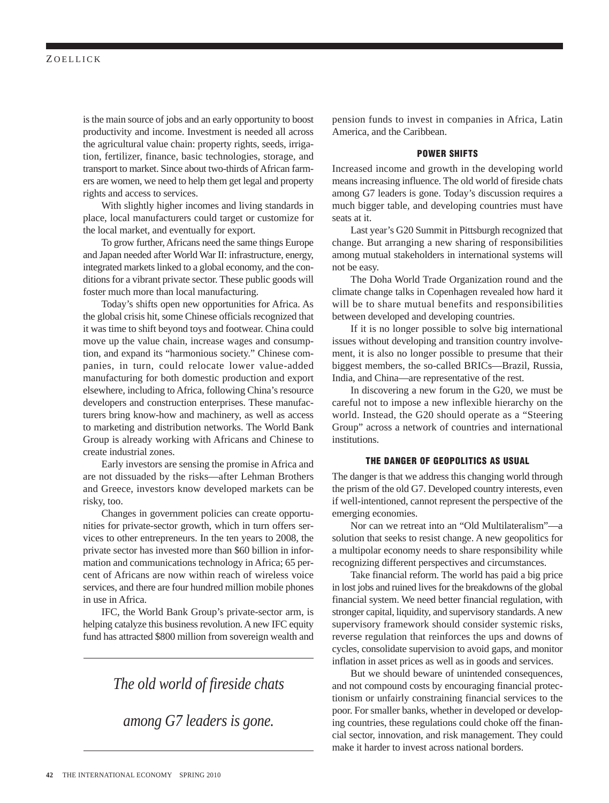is the main source of jobs and an early opportunity to boost productivity and income. Investment is needed all across the agricultural value chain: property rights, seeds, irrigation, fertilizer, finance, basic technologies, storage, and transport to market. Since about two-thirds of African farmers are women, we need to help them get legal and property rights and access to services.

With slightly higher incomes and living standards in place, local manufacturers could target or customize for the local market, and eventually for export.

To grow further, Africans need the same things Europe and Japan needed after World War II: infrastructure, energy, integrated markets linked to a global economy, and the conditions for a vibrant private sector. These public goods will foster much more than local manufacturing.

Today's shifts open new opportunities for Africa. As the global crisis hit, some Chinese officials recognized that it was time to shift beyond toys and footwear. China could move up the value chain, increase wages and consumption, and expand its "harmonious society." Chinese companies, in turn, could relocate lower value-added manufacturing for both domestic production and export elsewhere, including to Africa, following China's resource developers and construction enterprises. These manufacturers bring know-how and machinery, as well as access to marketing and distribution networks. The World Bank Group is already working with Africans and Chinese to create industrial zones.

Early investors are sensing the promise in Africa and are not dissuaded by the risks—after Lehman Brothers and Greece, investors know developed markets can be risky, too.

Changes in government policies can create opportunities for private-sector growth, which in turn offers services to other entrepreneurs. In the ten years to 2008, the private sector has invested more than \$60 billion in information and communications technology in Africa; 65 percent of Africans are now within reach of wireless voice services, and there are four hundred million mobile phones in use in Africa.

IFC, the World Bank Group's private-sector arm, is helping catalyze this business revolution. A new IFC equity fund has attracted \$800 million from sovereign wealth and

### *The old world of fireside chats*

*among G7 leaders is gone.*

pension funds to invest in companies in Africa, Latin America, and the Caribbean.

#### **POWER SHIFTS**

Increased income and growth in the developing world means increasing influence. The old world of fireside chats among G7 leaders is gone. Today's discussion requires a much bigger table, and developing countries must have seats at it.

Last year's G20 Summit in Pittsburgh recognized that change. But arranging a new sharing of responsibilities among mutual stakeholders in international systems will not be easy.

The Doha World Trade Organization round and the climate change talks in Copenhagen revealed how hard it will be to share mutual benefits and responsibilities between developed and developing countries.

If it is no longer possible to solve big international issues without developing and transition country involvement, it is also no longer possible to presume that their biggest members, the so-called BRICs—Brazil, Russia, India, and China—are representative of the rest.

In discovering a new forum in the G20, we must be careful not to impose a new inflexible hierarchy on the world. Instead, the G20 should operate as a "Steering Group" across a network of countries and international institutions.

#### **THE DANGER OF GEOPOLITICS AS USUAL**

The danger is that we address this changing world through the prism of the old G7. Developed country interests, even if well-intentioned, cannot represent the perspective of the emerging economies.

Nor can we retreat into an "Old Multilateralism"—a solution that seeks to resist change. A new geopolitics for a multipolar economy needs to share responsibility while recognizing different perspectives and circumstances.

Take financial reform. The world has paid a big price in lost jobs and ruined lives for the breakdowns of the global financial system. We need better financial regulation, with stronger capital, liquidity, and supervisory standards. A new supervisory framework should consider systemic risks, reverse regulation that reinforces the ups and downs of cycles, consolidate supervision to avoid gaps, and monitor inflation in asset prices as well as in goods and services.

But we should beware of unintended consequences, and not compound costs by encouraging financial protectionism or unfairly constraining financial services to the poor. For smaller banks, whether in developed or developing countries, these regulations could choke off the financial sector, innovation, and risk management. They could make it harder to invest across national borders.